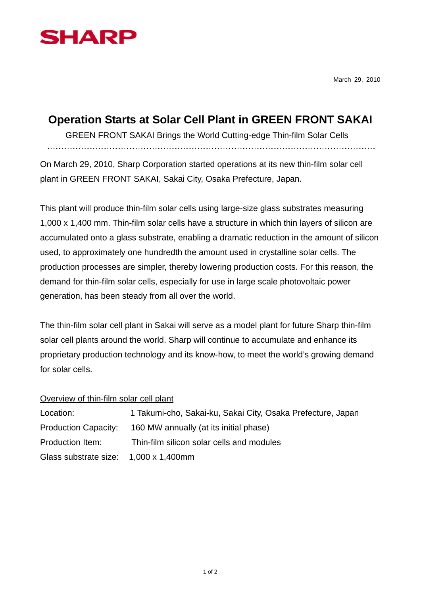

March 29, 2010

## **Operation Starts at Solar Cell Plant in GREEN FRONT SAKAI**

GREEN FRONT SAKAI Brings the World Cutting-edge Thin-film Solar Cells

On March 29, 2010, Sharp Corporation started operations at its new thin-film solar cell plant in GREEN FRONT SAKAI, Sakai City, Osaka Prefecture, Japan.

This plant will produce thin-film solar cells using large-size glass substrates measuring 1,000 x 1,400 mm. Thin-film solar cells have a structure in which thin layers of silicon are accumulated onto a glass substrate, enabling a dramatic reduction in the amount of silicon used, to approximately one hundredth the amount used in crystalline solar cells. The production processes are simpler, thereby lowering production costs. For this reason, the demand for thin-film solar cells, especially for use in large scale photovoltaic power generation, has been steady from all over the world.

The thin-film solar cell plant in Sakai will serve as a model plant for future Sharp thin-film solar cell plants around the world. Sharp will continue to accumulate and enhance its proprietary production technology and its know-how, to meet the world's growing demand for solar cells.

## Overview of thin-film solar cell plant

| Location:                             | 1 Takumi-cho, Sakai-ku, Sakai City, Osaka Prefecture, Japan |
|---------------------------------------|-------------------------------------------------------------|
| <b>Production Capacity:</b>           | 160 MW annually (at its initial phase)                      |
| Production Item:                      | Thin-film silicon solar cells and modules                   |
| Glass substrate size: 1,000 x 1,400mm |                                                             |